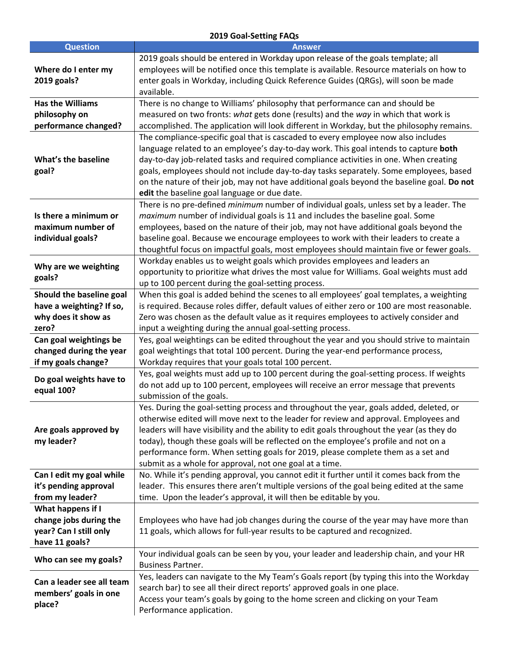## **2019 Goal-Setting FAQs**

| <b>Question</b>                                    | <b>Answer</b>                                                                                                                                                                                                                                                                                                                                                                                                                                                                                                      |
|----------------------------------------------------|--------------------------------------------------------------------------------------------------------------------------------------------------------------------------------------------------------------------------------------------------------------------------------------------------------------------------------------------------------------------------------------------------------------------------------------------------------------------------------------------------------------------|
| Where do I enter my<br>2019 goals?                 | 2019 goals should be entered in Workday upon release of the goals template; all<br>employees will be notified once this template is available. Resource materials on how to<br>enter goals in Workday, including Quick Reference Guides (QRGs), will soon be made<br>available.                                                                                                                                                                                                                                    |
| <b>Has the Williams</b>                            | There is no change to Williams' philosophy that performance can and should be                                                                                                                                                                                                                                                                                                                                                                                                                                      |
| philosophy on                                      | measured on two fronts: what gets done (results) and the way in which that work is                                                                                                                                                                                                                                                                                                                                                                                                                                 |
| performance changed?                               | accomplished. The application will look different in Workday, but the philosophy remains.                                                                                                                                                                                                                                                                                                                                                                                                                          |
| What's the baseline<br>goal?                       | The compliance-specific goal that is cascaded to every employee now also includes<br>language related to an employee's day-to-day work. This goal intends to capture both<br>day-to-day job-related tasks and required compliance activities in one. When creating<br>goals, employees should not include day-to-day tasks separately. Some employees, based<br>on the nature of their job, may not have additional goals beyond the baseline goal. Do not<br>edit the baseline goal language or due date.         |
|                                                    | There is no pre-defined minimum number of individual goals, unless set by a leader. The                                                                                                                                                                                                                                                                                                                                                                                                                            |
| Is there a minimum or                              | maximum number of individual goals is 11 and includes the baseline goal. Some                                                                                                                                                                                                                                                                                                                                                                                                                                      |
| maximum number of                                  | employees, based on the nature of their job, may not have additional goals beyond the                                                                                                                                                                                                                                                                                                                                                                                                                              |
| individual goals?                                  | baseline goal. Because we encourage employees to work with their leaders to create a                                                                                                                                                                                                                                                                                                                                                                                                                               |
|                                                    | thoughtful focus on impactful goals, most employees should maintain five or fewer goals.                                                                                                                                                                                                                                                                                                                                                                                                                           |
|                                                    | Workday enables us to weight goals which provides employees and leaders an                                                                                                                                                                                                                                                                                                                                                                                                                                         |
| Why are we weighting                               | opportunity to prioritize what drives the most value for Williams. Goal weights must add                                                                                                                                                                                                                                                                                                                                                                                                                           |
| goals?                                             | up to 100 percent during the goal-setting process.                                                                                                                                                                                                                                                                                                                                                                                                                                                                 |
| Should the baseline goal                           | When this goal is added behind the scenes to all employees' goal templates, a weighting                                                                                                                                                                                                                                                                                                                                                                                                                            |
| have a weighting? If so,                           | is required. Because roles differ, default values of either zero or 100 are most reasonable.                                                                                                                                                                                                                                                                                                                                                                                                                       |
| why does it show as                                | Zero was chosen as the default value as it requires employees to actively consider and                                                                                                                                                                                                                                                                                                                                                                                                                             |
| zero?                                              | input a weighting during the annual goal-setting process.                                                                                                                                                                                                                                                                                                                                                                                                                                                          |
| Can goal weightings be                             | Yes, goal weightings can be edited throughout the year and you should strive to maintain                                                                                                                                                                                                                                                                                                                                                                                                                           |
| changed during the year                            | goal weightings that total 100 percent. During the year-end performance process,                                                                                                                                                                                                                                                                                                                                                                                                                                   |
| if my goals change?                                | Workday requires that your goals total 100 percent.                                                                                                                                                                                                                                                                                                                                                                                                                                                                |
|                                                    | Yes, goal weights must add up to 100 percent during the goal-setting process. If weights                                                                                                                                                                                                                                                                                                                                                                                                                           |
| Do goal weights have to                            | do not add up to 100 percent, employees will receive an error message that prevents                                                                                                                                                                                                                                                                                                                                                                                                                                |
| equal 100?                                         | submission of the goals.                                                                                                                                                                                                                                                                                                                                                                                                                                                                                           |
| Are goals approved by<br>my leader?                | Yes. During the goal-setting process and throughout the year, goals added, deleted, or<br>otherwise edited will move next to the leader for review and approval. Employees and<br>leaders will have visibility and the ability to edit goals throughout the year (as they do<br>today), though these goals will be reflected on the employee's profile and not on a<br>performance form. When setting goals for 2019, please complete them as a set and<br>submit as a whole for approval, not one goal at a time. |
| Can I edit my goal while                           | No. While it's pending approval, you cannot edit it further until it comes back from the                                                                                                                                                                                                                                                                                                                                                                                                                           |
| it's pending approval                              | leader. This ensures there aren't multiple versions of the goal being edited at the same                                                                                                                                                                                                                                                                                                                                                                                                                           |
| from my leader?                                    | time. Upon the leader's approval, it will then be editable by you.                                                                                                                                                                                                                                                                                                                                                                                                                                                 |
| What happens if I                                  |                                                                                                                                                                                                                                                                                                                                                                                                                                                                                                                    |
| change jobs during the                             | Employees who have had job changes during the course of the year may have more than                                                                                                                                                                                                                                                                                                                                                                                                                                |
| year? Can I still only                             | 11 goals, which allows for full-year results to be captured and recognized.                                                                                                                                                                                                                                                                                                                                                                                                                                        |
| have 11 goals?                                     |                                                                                                                                                                                                                                                                                                                                                                                                                                                                                                                    |
| Who can see my goals?                              | Your individual goals can be seen by you, your leader and leadership chain, and your HR<br><b>Business Partner.</b>                                                                                                                                                                                                                                                                                                                                                                                                |
| Can a leader see all team<br>members' goals in one | Yes, leaders can navigate to the My Team's Goals report (by typing this into the Workday                                                                                                                                                                                                                                                                                                                                                                                                                           |
|                                                    | search bar) to see all their direct reports' approved goals in one place.                                                                                                                                                                                                                                                                                                                                                                                                                                          |
|                                                    | Access your team's goals by going to the home screen and clicking on your Team                                                                                                                                                                                                                                                                                                                                                                                                                                     |
| place?                                             | Performance application.                                                                                                                                                                                                                                                                                                                                                                                                                                                                                           |